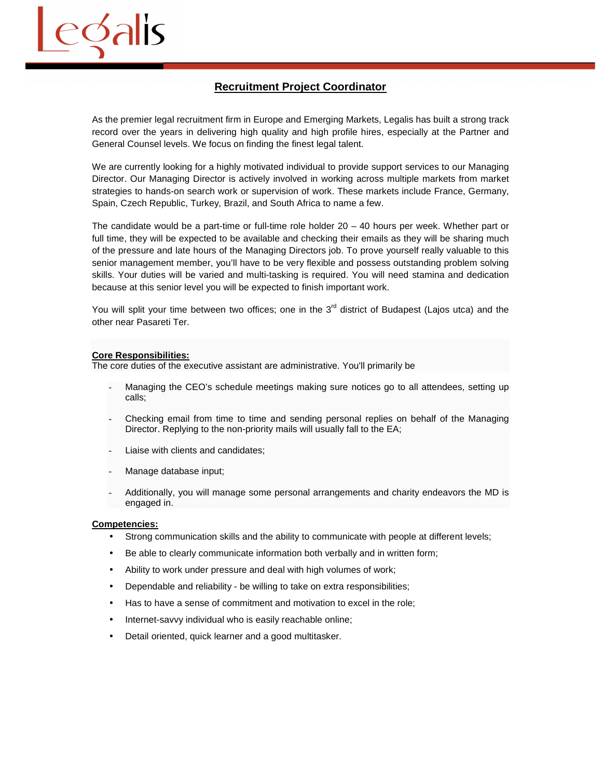

# **Recruitment Project Coordinator**

As the premier legal recruitment firm in Europe and Emerging Markets, Legalis has built a strong track record over the years in delivering high quality and high profile hires, especially at the Partner and General Counsel levels. We focus on finding the finest legal talent.

We are currently looking for a highly motivated individual to provide support services to our Managing Director. Our Managing Director is actively involved in working across multiple markets from market strategies to hands-on search work or supervision of work. These markets include France, Germany, Spain, Czech Republic, Turkey, Brazil, and South Africa to name a few.

The candidate would be a part-time or full-time role holder 20 – 40 hours per week. Whether part or full time, they will be expected to be available and checking their emails as they will be sharing much of the pressure and late hours of the Managing Directors job. To prove yourself really valuable to this senior management member, you'll have to be very flexible and possess outstanding problem solving skills. Your duties will be varied and multi-tasking is required. You will need stamina and dedication because at this senior level you will be expected to finish important work.

You will split your time between two offices; one in the 3<sup>rd</sup> district of Budapest (Laios utca) and the other near Pasareti Ter.

# **Core Responsibilities:**

The core duties of the executive assistant are administrative. You'll primarily be

- Managing the CEO's schedule meetings making sure notices go to all attendees, setting up calls;
- Checking email from time to time and sending personal replies on behalf of the Managing Director. Replying to the non-priority mails will usually fall to the EA;
- Liaise with clients and candidates;
- Manage database input;
- Additionally, you will manage some personal arrangements and charity endeavors the MD is engaged in.

#### **Competencies:**

- Strong communication skills and the ability to communicate with people at different levels;
- Be able to clearly communicate information both verbally and in written form;
- Ability to work under pressure and deal with high volumes of work;
- Dependable and reliability be willing to take on extra responsibilities;
- Has to have a sense of commitment and motivation to excel in the role;
- Internet-savvy individual who is easily reachable online;
- Detail oriented, quick learner and a good multitasker.